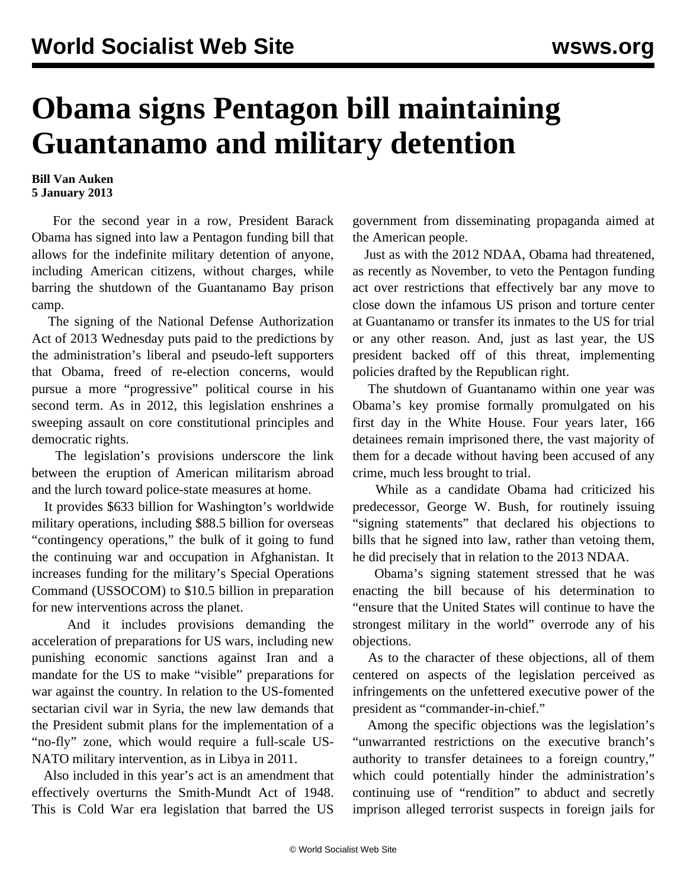## **Obama signs Pentagon bill maintaining Guantanamo and military detention**

## **Bill Van Auken 5 January 2013**

 For the second year in a row, President Barack Obama has signed into law a Pentagon funding bill that allows for the indefinite military detention of anyone, including American citizens, without charges, while barring the shutdown of the Guantanamo Bay prison camp.

 The signing of the National Defense Authorization Act of 2013 Wednesday puts paid to the predictions by the administration's liberal and pseudo-left supporters that Obama, freed of re-election concerns, would pursue a more "progressive" political course in his second term. As in 2012, this legislation enshrines a sweeping assault on core constitutional principles and democratic rights.

 The legislation's provisions underscore the link between the eruption of American militarism abroad and the lurch toward police-state measures at home.

 It provides \$633 billion for Washington's worldwide military operations, including \$88.5 billion for overseas "contingency operations," the bulk of it going to fund the continuing war and occupation in Afghanistan. It increases funding for the military's Special Operations Command (USSOCOM) to \$10.5 billion in preparation for new interventions across the planet.

 And it includes provisions demanding the acceleration of preparations for US wars, including new punishing economic sanctions against Iran and a mandate for the US to make "visible" preparations for war against the country. In relation to the US-fomented sectarian civil war in Syria, the new law demands that the President submit plans for the implementation of a "no-fly" zone, which would require a full-scale US-NATO military intervention, as in Libya in 2011.

 Also included in this year's act is an amendment that effectively overturns the Smith-Mundt Act of 1948. This is Cold War era legislation that barred the US

government from disseminating propaganda aimed at the American people.

 Just as with the 2012 NDAA, Obama had threatened, as recently as November, to veto the Pentagon funding act over restrictions that effectively bar any move to close down the infamous US prison and torture center at Guantanamo or transfer its inmates to the US for trial or any other reason. And, just as last year, the US president backed off of this threat, implementing policies drafted by the Republican right.

 The shutdown of Guantanamo within one year was Obama's key promise formally promulgated on his first day in the White House. Four years later, 166 detainees remain imprisoned there, the vast majority of them for a decade without having been accused of any crime, much less brought to trial.

 While as a candidate Obama had criticized his predecessor, George W. Bush, for routinely issuing "signing statements" that declared his objections to bills that he signed into law, rather than vetoing them, he did precisely that in relation to the 2013 NDAA.

 Obama's signing statement stressed that he was enacting the bill because of his determination to "ensure that the United States will continue to have the strongest military in the world" overrode any of his objections.

 As to the character of these objections, all of them centered on aspects of the legislation perceived as infringements on the unfettered executive power of the president as "commander-in-chief."

 Among the specific objections was the legislation's "unwarranted restrictions on the executive branch's authority to transfer detainees to a foreign country," which could potentially hinder the administration's continuing use of "rendition" to abduct and secretly imprison alleged terrorist suspects in foreign jails for